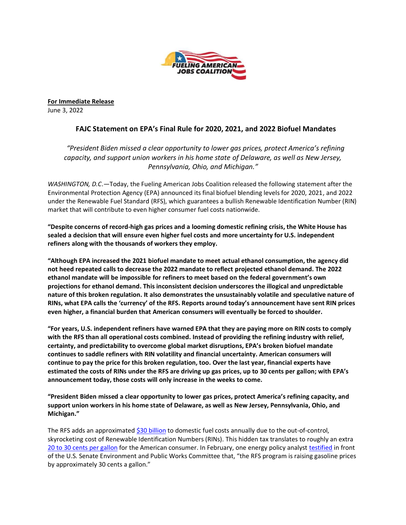

**For Immediate Release** June 3, 2022

## **FAJC Statement on EPA's Final Rule for 2020, 2021, and 2022 Biofuel Mandates**

## *"President Biden missed a clear opportunity to lower gas prices, protect America's refining capacity, and support union workers in his home state of Delaware, as well as New Jersey, Pennsylvania, Ohio, and Michigan."*

*WASHINGTON, D.C*.—Today, the Fueling American Jobs Coalition released the following statement after the Environmental Protection Agency (EPA) announced its final biofuel blending levels for 2020, 2021, and 2022 under the Renewable Fuel Standard (RFS), which guarantees a bullish Renewable Identification Number (RIN) market that will contribute to even higher consumer fuel costs nationwide.

**"Despite concerns of record-high gas prices and a looming domestic refining crisis, the White House has sealed a decision that will ensure even higher fuel costs and more uncertainty for U.S. independent refiners along with the thousands of workers they employ.**

**"Although EPA increased the 2021 biofuel mandate to meet actual ethanol consumption, the agency did not heed repeated calls to decrease the 2022 mandate to reflect projected ethanol demand. The 2022 ethanol mandate will be impossible for refiners to meet based on the federal government's own projections for ethanol demand. This inconsistent decision underscores the illogical and unpredictable nature of this broken regulation. It also demonstrates the unsustainably volatile and speculative nature of RINs, what EPA calls the 'currency' of the RFS. Reports around today's announcement have sent RIN prices even higher, a financial burden that American consumers will eventually be forced to shoulder.**

**"For years, U.S. independent refiners have warned EPA that they are paying more on RIN costs to comply with the RFS than all operational costs combined. Instead of providing the refining industry with relief, certainty, and predictability to overcome global market disruptions, EPA's broken biofuel mandate continues to saddle refiners with RIN volatility and financial uncertainty. American consumers will continue to pay the price for this broken regulation, too. Over the last year, financial experts have estimated the costs of RINs under the RFS are driving up gas prices, up to 30 cents per gallon; with EPA's announcement today, those costs will only increase in the weeks to come.**

**"President Biden missed a clear opportunity to lower gas prices, protect America's refining capacity, and support union workers in his home state of Delaware, as well as New Jersey, Pennsylvania, Ohio, and Michigan."**

The RFS adds an approximate[d \\$30 billion](https://www.fuelingusjobs.com/may-27) to domestic fuel costs annually due to the out-of-control, skyrocketing cost of Renewable Identification Numbers (RINs). This hidden tax translates to roughly an extra 20 to 30 [cents per gallon](https://www.fuelingusjobs.com/may-24-lowering-the-rfs-the-most-significant-tool-in-the-toolbox-to-lower-gas-prices) for the American consumer. In February, one energy policy analyst [testified](https://www.epw.senate.gov/public/_cache/files/8/c/8c2e29b8-b783-4b54-8a94-a924c0111f71/6BC5D91D8FFABF0AFDF5F1C68549A435.02-16-2022-pugliaresi-testimony.pdf) in front of the U.S. Senate Environment and Public Works Committee that, "the RFS program is raising gasoline prices by approximately 30 cents a gallon."